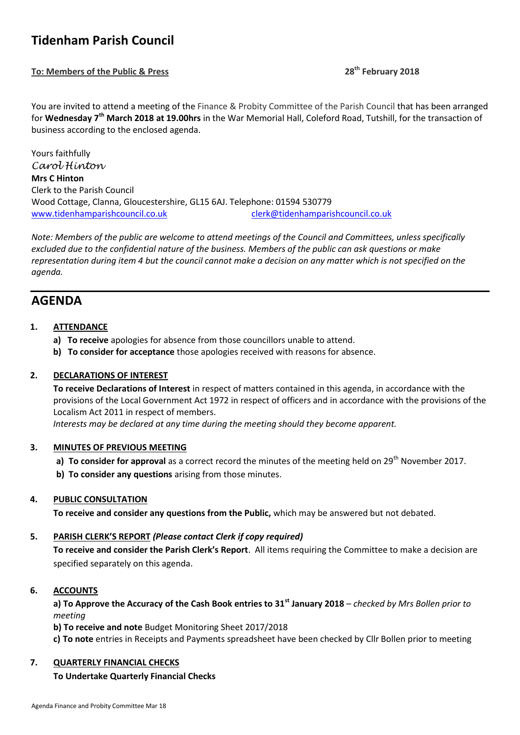# **Tidenham Parish Council**

**To: Members of the Public & Press 28th February 2018**

You are invited to attend a meeting of the Finance & Probity Committee of the Parish Council that has been arranged for **Wednesday 7th March 2018 at 19.00hrs** in the War Memorial Hall, Coleford Road, Tutshill, for the transaction of business according to the enclosed agenda.

Yours faithfully *Carol Hinton* **Mrs C Hinton** Clerk to the Parish Council Wood Cottage, Clanna, Gloucestershire, GL15 6AJ. Telephone: 01594 530779 [www.tidenhamparishcouncil.co.uk](http://www.tidenhamparishcouncil.co.uk/) [clerk@tidenhamparishcouncil.co.uk](mailto:clerk@tidenhamparishcouncil.co.uk)

*Note: Members of the public are welcome to attend meetings of the Council and Committees, unless specifically excluded due to the confidential nature of the business. Members of the public can ask questions or make representation during item 4 but the council cannot make a decision on any matter which is not specified on the agenda.*

## **AGENDA**

#### **1. ATTENDANCE**

- **a) To receive** apologies for absence from those councillors unable to attend.
- **b) To consider for acceptance** those apologies received with reasons for absence.

#### **2. DECLARATIONS OF INTEREST**

**To receive Declarations of Interest** in respect of matters contained in this agenda, in accordance with the provisions of the Local Government Act 1972 in respect of officers and in accordance with the provisions of the Localism Act 2011 in respect of members.

 *Interests may be declared at any time during the meeting should they become apparent.*

#### **3. MINUTES OF PREVIOUS MEETING**

- **a) To consider for approval** as a correct record the minutes of the meeting held on 29<sup>th</sup> November 2017.
- **b) To consider any questions** arising from those minutes.

#### **4. PUBLIC CONSULTATION**

**To receive and consider any questions from the Public,** which may be answered but not debated.

#### **5. PARISH CLERK'S REPORT** *(Please contact Clerk if copy required)*

**To receive and consider the Parish Clerk's Report**. All items requiring the Committee to make a decision are specified separately on this agenda.

#### **6. ACCOUNTS**

**a) To Approve the Accuracy of the Cash Book entries to 31st January 2018** *– checked by Mrs Bollen prior to meeting* 

**b) To receive and note** Budget Monitoring Sheet 2017/2018

**c) To note** entries in Receipts and Payments spreadsheet have been checked by Cllr Bollen prior to meeting

#### **7. QUARTERLY FINANCIAL CHECKS**

### **To Undertake Quarterly Financial Checks**